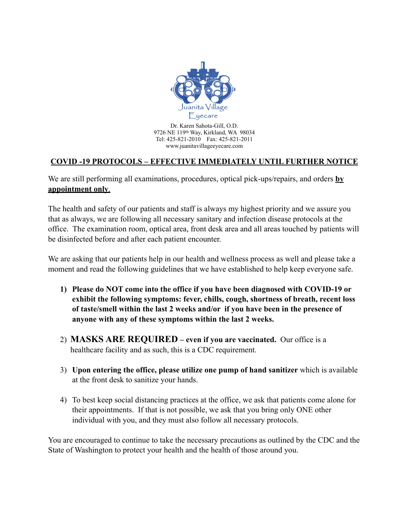

Dr. Karen Sahota-Gill, O.D. 9726 NE 119th Way, Kirkland, WA 98034 Tel: 425-821-2010 Fax: 425-821-2011 www.juanitavillageeyecare.com

## **COVID -19 PROTOCOLS – EFFECTIVE IMMEDIATELY UNTIL FURTHER NOTICE**

We are still performing all examinations, procedures, optical pick-ups/repairs, and orders **by appointment only**.

The health and safety of our patients and staff is always my highest priority and we assure you that as always, we are following all necessary sanitary and infection disease protocols at the office. The examination room, optical area, front desk area and all areas touched by patients will be disinfected before and after each patient encounter.

We are asking that our patients help in our health and wellness process as well and please take a moment and read the following guidelines that we have established to help keep everyone safe.

- **1) Please do NOT come into the office if you have been diagnosed with COVID-19 or exhibit the following symptoms: fever, chills, cough, shortness of breath, recent loss of taste/smell within the last 2 weeks and/or if you have been in the presence of anyone with any of these symptoms within the last 2 weeks.**
- 2) **MASKS ARE REQUIRED even if you are vaccinated.** Our office is a healthcare facility and as such, this is a CDC requirement.
- 3) **Upon entering the office, please utilize one pump of hand sanitizer** which is available at the front desk to sanitize your hands.
- 4) To best keep social distancing practices at the office, we ask that patients come alone for their appointments. If that is not possible, we ask that you bring only ONE other individual with you, and they must also follow all necessary protocols.

You are encouraged to continue to take the necessary precautions as outlined by the CDC and the State of Washington to protect your health and the health of those around you.